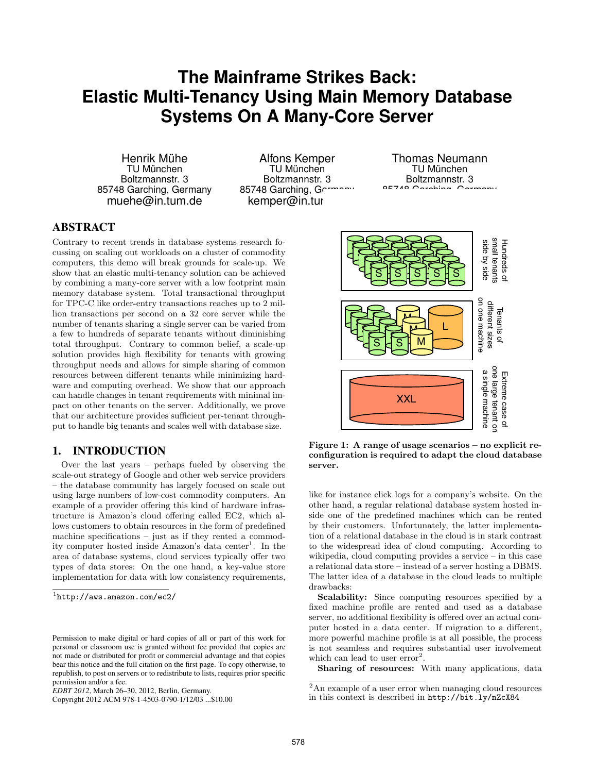# **The Mainframe Strikes Back: Elastic Multi-Tenancy Using Main Memory Database Systems On A Many-Core Server**

Henrik Mühe TU München Boltzmannstr. 3 85748 Garching, Germany muehe@in.tum.de

Alfons Kemper TU München Boltzmannstr. 3 85748 Garching, Gr kemper@in.tur

Thomas Neumann TU München Boltzmannstr. 3 85748 Garching, Germany

# ABSTRACT

Contrary to recent trends in database systems research focussing on scaling out workloads on a cluster of commodity computers, this demo will break grounds for scale-up. We show that an elastic multi-tenancy solution can be achieved by combining a many-core server with a low footprint main memory database system. Total transactional throughput for TPC-C like order-entry transactions reaches up to 2 million transactions per second on a 32 core server while the number of tenants sharing a single server can be varied from a few to hundreds of separate tenants without diminishing total throughput. Contrary to common belief, a scale-up solution provides high flexibility for tenants with growing throughput needs and allows for simple sharing of common resources between different tenants while minimizing hardware and computing overhead. We show that our approach can handle changes in tenant requirements with minimal impact on other tenants on the server. Additionally, we prove that our architecture provides sufficient per-tenant throughput to handle big tenants and scales well with database size.

# 1. INTRODUCTION

Over the last years – perhaps fueled by observing the scale-out strategy of Google and other web service providers – the database community has largely focused on scale out using large numbers of low-cost commodity computers. An example of a provider offering this kind of hardware infrastructure is Amazon's cloud offering called EC2, which allows customers to obtain resources in the form of predefined machine specifications – just as if they rented a commodity computer hosted inside Amazon's data center<sup>1</sup>. In the area of database systems, cloud services typically offer two types of data stores: On the one hand, a key-value store implementation for data with low consistency requirements,

Copyright 2012 ACM 978-1-4503-0790-1/12/03 ...\$10.00



Figure 1: A range of usage scenarios – no explicit reconfiguration is required to adapt the cloud database server.

like for instance click logs for a company's website. On the other hand, a regular relational database system hosted inside one of the predefined machines which can be rented by their customers. Unfortunately, the latter implementation of a relational database in the cloud is in stark contrast to the widespread idea of cloud computing. According to wikipedia, cloud computing provides a service – in this case a relational data store – instead of a server hosting a DBMS. The latter idea of a database in the cloud leads to multiple drawbacks:

Scalability: Since computing resources specified by a fixed machine profile are rented and used as a database server, no additional flexibility is offered over an actual computer hosted in a data center. If migration to a different, more powerful machine profile is at all possible, the process is not seamless and requires substantial user involvement which can lead to user error<sup>2</sup>.

Sharing of resources: With many applications, data

<sup>1</sup> http://aws.amazon.com/ec2/

Permission to make digital or hard copies of all or part of this work for personal or classroom use is granted without fee provided that copies are not made or distributed for profit or commercial advantage and that copies bear this notice and the full citation on the first page. To copy otherwise, to republish, to post on servers or to redistribute to lists, requires prior specific permission and/or a fee.

*EDBT 2012*, March 26–30, 2012, Berlin, Germany.

<sup>2</sup>An example of a user error when managing cloud resources in this context is described in http://bit.ly/nZcX84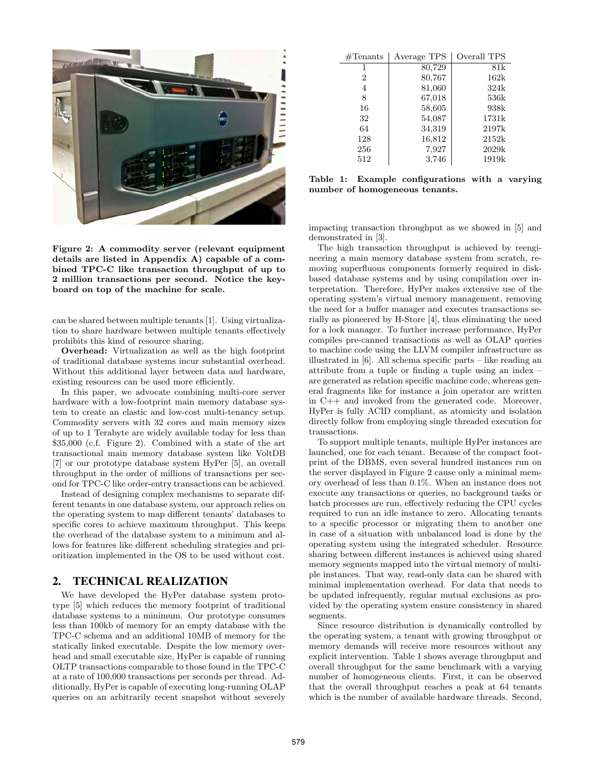

Figure 2: A commodity server (relevant equipment details are listed in Appendix A) capable of a combined TPC-C like transaction throughput of up to 2 million transactions per second. Notice the keyboard on top of the machine for scale.

can be shared between multiple tenants [1]. Using virtualization to share hardware between multiple tenants effectively prohibits this kind of resource sharing.

Overhead: Virtualization as well as the high footprint of traditional database systems incur substantial overhead. Without this additional layer between data and hardware, existing resources can be used more efficiently.

In this paper, we advocate combining multi-core server hardware with a low-footprint main memory database system to create an elastic and low-cost multi-tenancy setup. Commodity servers with 32 cores and main memory sizes of up to 1 Terabyte are widely available today for less than \$35,000 (c.f. Figure 2). Combined with a state of the art transactional main memory database system like VoltDB [7] or our prototype database system HyPer [5], an overall throughput in the order of millions of transactions per second for TPC-C like order-entry transactions can be achieved.

Instead of designing complex mechanisms to separate different tenants in one database system, our approach relies on the operating system to map different tenants' databases to specific cores to achieve maximum throughput. This keeps the overhead of the database system to a minimum and allows for features like different scheduling strategies and prioritization implemented in the OS to be used without cost.

#### 2. TECHNICAL REALIZATION

We have developed the HyPer database system prototype [5] which reduces the memory footprint of traditional database systems to a minimum. Our prototype consumes less than 100kb of memory for an empty database with the TPC-C schema and an additional 10MB of memory for the statically linked executable. Despite the low memory overhead and small executable size, HyPer is capable of running OLTP transactions comparable to those found in the TPC-C at a rate of 100,000 transactions per seconds per thread. Additionally, HyPer is capable of executing long-running OLAP queries on an arbitrarily recent snapshot without severely

| $\#\text{Tenants}$ | Average TPS | Overall TPS |
|--------------------|-------------|-------------|
|                    | 80,729      | 81k         |
| 2                  | 80,767      | 162k        |
| 4                  | 81,060      | 324k        |
| 8                  | 67,018      | 536k        |
| 16                 | 58,605      | 938k        |
| 32                 | 54,087      | 1731k       |
| 64                 | 34,319      | 2197k       |
| 128                | 16,812      | 2152k       |
| 256                | 7,927       | 2029k       |
| 512                | 3,746       | 1919k       |

Table 1: Example configurations with a varying number of homogeneous tenants.

impacting transaction throughput as we showed in [5] and demonstrated in [3].

The high transaction throughput is achieved by reengineering a main memory database system from scratch, removing superfluous components formerly required in diskbased database systems and by using compilation over interpretation. Therefore, HyPer makes extensive use of the operating system's virtual memory management, removing the need for a buffer manager and executes transactions serially as pioneered by H-Store [4], thus eliminating the need for a lock manager. To further increase performance, HyPer compiles pre-canned transactions as well as OLAP queries to machine code using the LLVM compiler infrastructure as illustrated in [6]. All schema specific parts – like reading an attribute from a tuple or finding a tuple using an index – are generated as relation specific machine code, whereas general fragments like for instance a join operator are written in C++ and invoked from the generated code. Moreover, HyPer is fully ACID compliant, as atomicity and isolation directly follow from employing single threaded execution for transactions.

To support multiple tenants, multiple HyPer instances are launched, one for each tenant. Because of the compact footprint of the DBMS, even several hundred instances run on the server displayed in Figure 2 cause only a minimal memory overhead of less than 0.1%. When an instance does not execute any transactions or queries, no background tasks or batch processes are run, effectively reducing the CPU cycles required to run an idle instance to zero. Allocating tenants to a specific processor or migrating them to another one in case of a situation with unbalanced load is done by the operating system using the integrated scheduler. Resource sharing between different instances is achieved using shared memory segments mapped into the virtual memory of multiple instances. That way, read-only data can be shared with minimal implementation overhead. For data that needs to be updated infrequently, regular mutual exclusions as provided by the operating system ensure consistency in shared segments.

Since resource distribution is dynamically controlled by the operating system, a tenant with growing throughput or memory demands will receive more resources without any explicit intervention. Table 1 shows average throughput and overall throughput for the same benchmark with a varying number of homogeneous clients. First, it can be observed that the overall throughput reaches a peak at 64 tenants which is the number of available hardware threads. Second,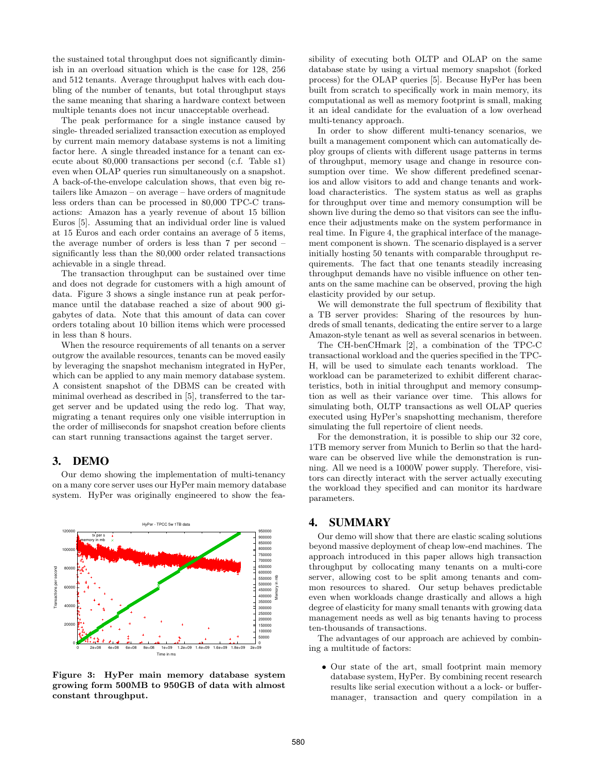the sustained total throughput does not significantly diminish in an overload situation which is the case for 128, 256 and 512 tenants. Average throughput halves with each doubling of the number of tenants, but total throughput stays the same meaning that sharing a hardware context between multiple tenants does not incur unacceptable overhead.

The peak performance for a single instance caused by single- threaded serialized transaction execution as employed by current main memory database systems is not a limiting factor here. A single threaded instance for a tenant can execute about 80,000 transactions per second (c.f. Table s1) even when OLAP queries run simultaneously on a snapshot. A back-of-the-envelope calculation shows, that even big retailers like Amazon – on average – have orders of magnitude less orders than can be processed in 80,000 TPC-C transactions: Amazon has a yearly revenue of about 15 billion Euros [5]. Assuming that an individual order line is valued at 15 Euros and each order contains an average of 5 items, the average number of orders is less than 7 per second – significantly less than the 80,000 order related transactions achievable in a single thread.

The transaction throughput can be sustained over time and does not degrade for customers with a high amount of data. Figure 3 shows a single instance run at peak performance until the database reached a size of about 900 gigabytes of data. Note that this amount of data can cover orders totaling about 10 billion items which were processed in less than 8 hours.

When the resource requirements of all tenants on a server outgrow the available resources, tenants can be moved easily by leveraging the snapshot mechanism integrated in HyPer, which can be applied to any main memory database system. A consistent snapshot of the DBMS can be created with minimal overhead as described in [5], transferred to the target server and be updated using the redo log. That way, migrating a tenant requires only one visible interruption in the order of milliseconds for snapshot creation before clients can start running transactions against the target server.

#### 3. DEMO

Our demo showing the implementation of multi-tenancy on a many core server uses our HyPer main memory database system. HyPer was originally engineered to show the fea-



Figure 3: HyPer main memory database system growing form 500MB to 950GB of data with almost constant throughput.

sibility of executing both OLTP and OLAP on the same database state by using a virtual memory snapshot (forked process) for the OLAP queries [5]. Because HyPer has been built from scratch to specifically work in main memory, its computational as well as memory footprint is small, making it an ideal candidate for the evaluation of a low overhead multi-tenancy approach.

In order to show different multi-tenancy scenarios, we built a management component which can automatically deploy groups of clients with different usage patterns in terms of throughput, memory usage and change in resource consumption over time. We show different predefined scenarios and allow visitors to add and change tenants and workload characteristics. The system status as well as graphs for throughput over time and memory consumption will be shown live during the demo so that visitors can see the influence their adjustments make on the system performance in real time. In Figure 4, the graphical interface of the management component is shown. The scenario displayed is a server initially hosting 50 tenants with comparable throughput requirements. The fact that one tenants steadily increasing throughput demands have no visible influence on other tenants on the same machine can be observed, proving the high elasticity provided by our setup.

We will demonstrate the full spectrum of flexibility that a TB server provides: Sharing of the resources by hundreds of small tenants, dedicating the entire server to a large Amazon-style tenant as well as several scenarios in between.

The CH-benCHmark [2], a combination of the TPC-C transactional workload and the queries specified in the TPC-H, will be used to simulate each tenants workload. The workload can be parameterized to exhibit different characteristics, both in initial throughput and memory consumption as well as their variance over time. This allows for simulating both, OLTP transactions as well OLAP queries executed using HyPer's snapshotting mechanism, therefore simulating the full repertoire of client needs.

For the demonstration, it is possible to ship our 32 core, 1TB memory server from Munich to Berlin so that the hardware can be observed live while the demonstration is running. All we need is a 1000W power supply. Therefore, visitors can directly interact with the server actually executing the workload they specified and can monitor its hardware parameters.

#### 4. SUMMARY

Our demo will show that there are elastic scaling solutions beyond massive deployment of cheap low-end machines. The approach introduced in this paper allows high transaction throughput by collocating many tenants on a multi-core server, allowing cost to be split among tenants and common resources to shared. Our setup behaves predictable even when workloads change drastically and allows a high degree of elasticity for many small tenants with growing data management needs as well as big tenants having to process ten-thousands of transactions.

The advantages of our approach are achieved by combining a multitude of factors:

• Our state of the art, small footprint main memory database system, HyPer. By combining recent research results like serial execution without a a lock- or buffermanager, transaction and query compilation in a